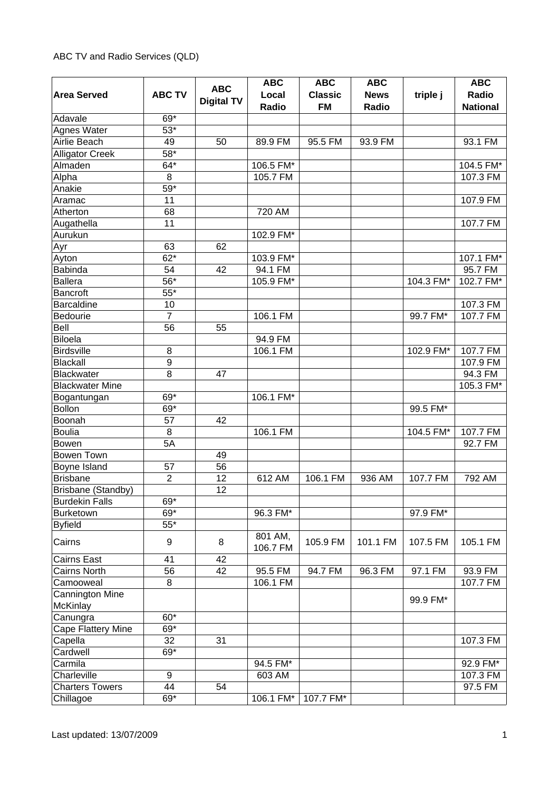|                        |                  |                   | <b>ABC</b> | <b>ABC</b>     | <b>ABC</b>  |           | <b>ABC</b>      |
|------------------------|------------------|-------------------|------------|----------------|-------------|-----------|-----------------|
| <b>Area Served</b>     | <b>ABC TV</b>    | <b>ABC</b>        | Local      | <b>Classic</b> | <b>News</b> | triple j  | Radio           |
|                        |                  | <b>Digital TV</b> | Radio      | <b>FM</b>      | Radio       |           | <b>National</b> |
| Adavale                | 69*              |                   |            |                |             |           |                 |
| Agnes Water            | $53*$            |                   |            |                |             |           |                 |
| Airlie Beach           | 49               | 50                | 89.9 FM    | 95.5 FM        | 93.9 FM     |           | 93.1 FM         |
| <b>Alligator Creek</b> | $58*$            |                   |            |                |             |           |                 |
| Almaden                | $64*$            |                   | 106.5 FM*  |                |             |           | 104.5 FM*       |
| Alpha                  | $\,8\,$          |                   | 105.7 FM   |                |             |           | 107.3 FM        |
| Anakie                 | $59*$            |                   |            |                |             |           |                 |
| Aramac                 | 11               |                   |            |                |             |           | 107.9 FM        |
| Atherton               | 68               |                   | 720 AM     |                |             |           |                 |
| Augathella             | 11               |                   |            |                |             |           | 107.7 FM        |
| Aurukun                |                  |                   | 102.9 FM*  |                |             |           |                 |
| Ayr                    | 63               | 62                |            |                |             |           |                 |
| Ayton                  | $62*$            |                   | 103.9 FM*  |                |             |           | 107.1 FM*       |
| <b>Babinda</b>         | 54               | 42                | 94.1 FM    |                |             |           | 95.7 FM         |
| <b>Ballera</b>         | 56*              |                   | 105.9 FM*  |                |             | 104.3 FM* | 102.7 FM*       |
| <b>Bancroft</b>        | $55*$            |                   |            |                |             |           |                 |
| <b>Barcaldine</b>      | 10               |                   |            |                |             |           | 107.3 FM        |
| Bedourie               | $\overline{7}$   |                   | 106.1 FM   |                |             | 99.7 FM*  | 107.7 FM        |
| Bell                   | 56               |                   |            |                |             |           |                 |
| <b>Biloela</b>         |                  | 55                |            |                |             |           |                 |
|                        |                  |                   | 94.9 FM    |                |             |           |                 |
| <b>Birdsville</b>      | 8                |                   | 106.1 FM   |                |             | 102.9 FM* | 107.7 FM        |
| <b>Blackall</b>        | $\boldsymbol{9}$ |                   |            |                |             |           | 107.9 FM        |
| Blackwater             | 8                | 47                |            |                |             |           | 94.3 FM         |
| <b>Blackwater Mine</b> |                  |                   |            |                |             |           | 105.3 FM*       |
| Bogantungan            | 69*              |                   | 106.1 FM*  |                |             |           |                 |
| <b>Bollon</b>          | 69*              |                   |            |                |             | 99.5 FM*  |                 |
| Boonah                 | 57               | 42                |            |                |             |           |                 |
| <b>Boulia</b>          | 8                |                   | 106.1 FM   |                |             | 104.5 FM* | 107.7 FM        |
| <b>Bowen</b>           | 5A               |                   |            |                |             |           | 92.7 FM         |
| <b>Bowen Town</b>      |                  | 49                |            |                |             |           |                 |
| Boyne Island           | 57               | 56                |            |                |             |           |                 |
| <b>Brisbane</b>        | $\overline{2}$   | 12                | 612 AM     | 106.1 FM       | 936 AM      | 107.7 FM  | 792 AM          |
| Brisbane (Standby)     |                  | 12                |            |                |             |           |                 |
| <b>Burdekin Falls</b>  | 69*              |                   |            |                |             |           |                 |
| <b>Burketown</b>       | 69*              |                   | 96.3 FM*   |                |             | 97.9 FM*  |                 |
| <b>Byfield</b>         | $55*$            |                   |            |                |             |           |                 |
| Cairns                 | $\boldsymbol{9}$ | 8                 | 801 AM,    | 105.9 FM       | 101.1 FM    | 107.5 FM  | 105.1 FM        |
|                        |                  |                   | 106.7 FM   |                |             |           |                 |
| <b>Cairns East</b>     | 41               | 42                |            |                |             |           |                 |
| Cairns North           | 56               | 42                | 95.5 FM    | 94.7 FM        | 96.3 FM     | 97.1 FM   | 93.9 FM         |
| Camooweal              | 8                |                   | 106.1 FM   |                |             |           | 107.7 FM        |
| Cannington Mine        |                  |                   |            |                |             | 99.9 FM*  |                 |
| <b>McKinlay</b>        |                  |                   |            |                |             |           |                 |
| Canungra               | $60*$            |                   |            |                |             |           |                 |
| Cape Flattery Mine     | 69*              |                   |            |                |             |           |                 |
| Capella                | 32               | 31                |            |                |             |           | 107.3 FM        |
| Cardwell               | 69*              |                   |            |                |             |           |                 |
| Carmila                |                  |                   | 94.5 FM*   |                |             |           | 92.9 FM*        |
| Charleville            | 9                |                   | 603 AM     |                |             |           | 107.3 FM        |
| <b>Charters Towers</b> | 44               | 54                |            |                |             |           | 97.5 FM         |
| Chillagoe              | 69*              |                   | 106.1 FM*  | 107.7 FM*      |             |           |                 |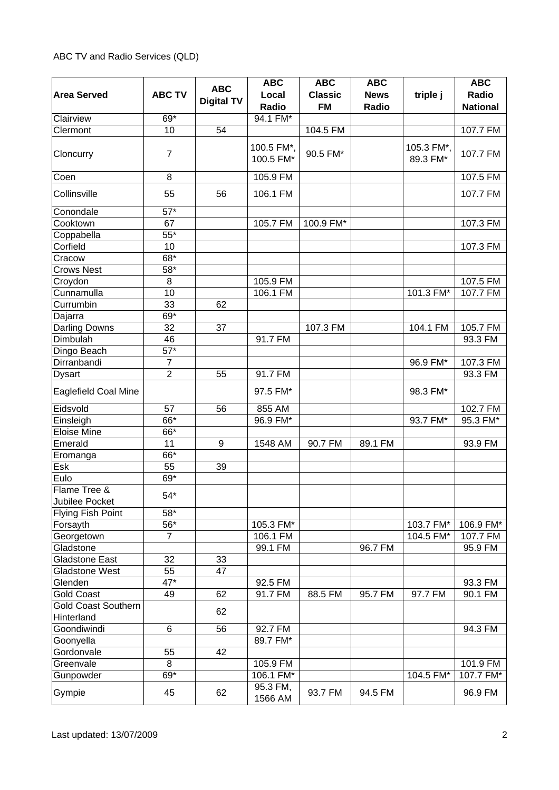|                                          |                   | <b>ABC</b>        | <b>ABC</b>              | <b>ABC</b>                  | <b>ABC</b>           |                        | <b>ABC</b>               |
|------------------------------------------|-------------------|-------------------|-------------------------|-----------------------------|----------------------|------------------------|--------------------------|
| <b>Area Served</b>                       | <b>ABC TV</b>     | <b>Digital TV</b> | Local<br>Radio          | <b>Classic</b><br><b>FM</b> | <b>News</b><br>Radio | triple j               | Radio<br><b>National</b> |
| Clairview                                | 69*               |                   | 94.1 FM*                |                             |                      |                        |                          |
| Clermont                                 | 10                | 54                |                         | 104.5 FM                    |                      |                        | 107.7 FM                 |
| Cloncurry                                | $\overline{7}$    |                   | 100.5 FM*,<br>100.5 FM* | 90.5 FM*                    |                      | 105.3 FM*,<br>89.3 FM* | 107.7 FM                 |
| Coen                                     | 8                 |                   | 105.9 FM                |                             |                      |                        | 107.5 FM                 |
| Collinsville                             | 55                | 56                | 106.1 FM                |                             |                      |                        | 107.7 FM                 |
| Conondale                                | $57*$             |                   |                         |                             |                      |                        |                          |
| Cooktown                                 | 67                |                   | 105.7 FM                | 100.9 FM*                   |                      |                        | 107.3 FM                 |
| Coppabella                               | $55*$             |                   |                         |                             |                      |                        |                          |
| Corfield                                 | 10                |                   |                         |                             |                      |                        | 107.3 FM                 |
| Cracow                                   | $68*$             |                   |                         |                             |                      |                        |                          |
| <b>Crows Nest</b>                        | 58*               |                   |                         |                             |                      |                        |                          |
| Croydon                                  | 8                 |                   | 105.9 FM                |                             |                      |                        | 107.5 FM                 |
| Cunnamulla                               | 10                |                   | 106.1 FM                |                             |                      | 101.3 FM*              | 107.7 FM                 |
| Currumbin                                | 33                | 62                |                         |                             |                      |                        |                          |
| Dajarra                                  | 69*               |                   |                         |                             |                      |                        |                          |
| <b>Darling Downs</b>                     | 32                | 37                |                         | 107.3 FM                    |                      | 104.1 FM               | 105.7 FM                 |
| Dimbulah                                 | 46                |                   | 91.7 FM                 |                             |                      |                        | 93.3 FM                  |
| Dingo Beach                              | $57*$             |                   |                         |                             |                      |                        |                          |
| Dirranbandi                              | $\overline{7}$    |                   |                         |                             |                      | 96.9 FM*               | 107.3 FM                 |
| <b>Dysart</b>                            | $\overline{2}$    | 55                | 91.7 FM                 |                             |                      |                        | 93.3 FM                  |
| <b>Eaglefield Coal Mine</b>              |                   |                   | 97.5 FM*                |                             |                      | 98.3 FM*               |                          |
| Eidsvold                                 | 57                | 56                | 855 AM                  |                             |                      |                        | 102.7 FM                 |
| Einsleigh                                | 66*               |                   | 96.9 FM*                |                             |                      | 93.7 FM*               | 95.3 FM*                 |
| <b>Eloise Mine</b>                       | 66*               |                   |                         |                             |                      |                        |                          |
| Emerald                                  | 11                | 9                 | 1548 AM                 | 90.7 FM                     | 89.1 FM              |                        | 93.9 FM                  |
| Eromanga                                 | 66*               |                   |                         |                             |                      |                        |                          |
| Esk                                      | 55                | 39                |                         |                             |                      |                        |                          |
| Eulo                                     | 69*               |                   |                         |                             |                      |                        |                          |
| Flame Tree &                             |                   |                   |                         |                             |                      |                        |                          |
| Jubilee Pocket                           | $54*$             |                   |                         |                             |                      |                        |                          |
| Flying Fish Point                        | $58*$             |                   |                         |                             |                      |                        |                          |
| Forsayth                                 | $\overline{56}^*$ |                   | 105.3 FM*               |                             |                      | 103.7 FM*              | 106.9 FM*                |
| Georgetown                               | $\overline{7}$    |                   | 106.1 FM                |                             |                      | 104.5 FM*              | 107.7 FM                 |
| Gladstone                                |                   |                   | 99.1 FM                 |                             | 96.7 FM              |                        | 95.9 FM                  |
| <b>Gladstone East</b>                    | 32                | 33                |                         |                             |                      |                        |                          |
| <b>Gladstone West</b>                    | 55                | 47                |                         |                             |                      |                        |                          |
| Glenden                                  | 47*               |                   | 92.5 FM                 |                             |                      |                        | 93.3 FM                  |
| <b>Gold Coast</b>                        | 49                | 62                | 91.7 FM                 | 88.5 FM                     | 95.7 FM              | 97.7 FM                | 90.1 FM                  |
| <b>Gold Coast Southern</b><br>Hinterland |                   | 62                |                         |                             |                      |                        |                          |
| Goondiwindi                              | 6                 | 56                | 92.7 FM                 |                             |                      |                        | 94.3 FM                  |
| Goonyella                                |                   |                   | 89.7 FM*                |                             |                      |                        |                          |
| Gordonvale                               | 55                | 42                |                         |                             |                      |                        |                          |
| Greenvale                                | 8                 |                   | 105.9 FM                |                             |                      |                        | 101.9 FM                 |
| Gunpowder                                | $69*$             |                   | 106.1 FM*               |                             |                      | 104.5 FM*              | 107.7 FM*                |
| Gympie                                   | 45                | 62                | 95.3 FM,<br>1566 AM     | 93.7 FM                     | 94.5 FM              |                        | 96.9 FM                  |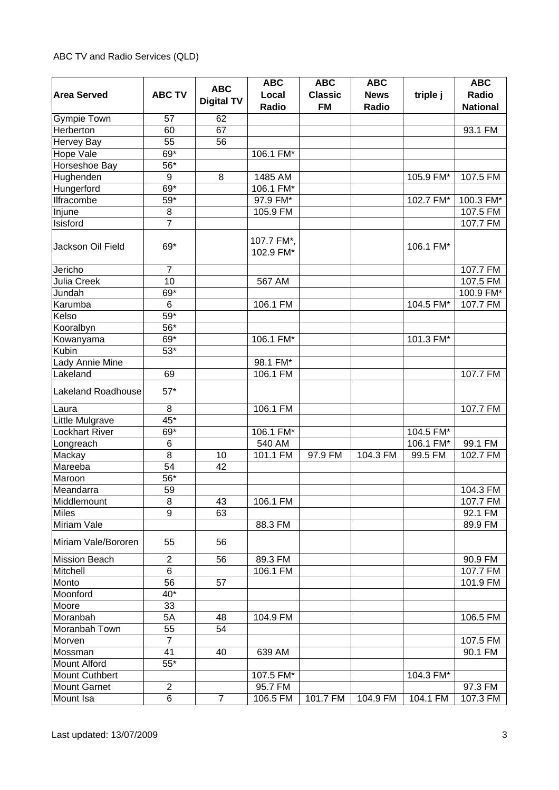|                           |                | <b>ABC</b>        | <b>ABC</b>              | <b>ABC</b>     | <b>ABC</b>  |           | <b>ABC</b>      |
|---------------------------|----------------|-------------------|-------------------------|----------------|-------------|-----------|-----------------|
| <b>Area Served</b>        | <b>ABC TV</b>  |                   | Local                   | <b>Classic</b> | <b>News</b> | triple j  | Radio           |
|                           |                | <b>Digital TV</b> | Radio                   | <b>FM</b>      | Radio       |           | <b>National</b> |
| <b>Gympie Town</b>        | 57             | 62                |                         |                |             |           |                 |
| Herberton                 | 60             | 67                |                         |                |             |           | 93.1 FM         |
| Hervey Bay                | 55             | 56                |                         |                |             |           |                 |
| Hope Vale                 | 69*            |                   | 106.1 FM*               |                |             |           |                 |
| Horseshoe Bay             | $56*$          |                   |                         |                |             |           |                 |
| Hughenden                 | 9              | 8                 | 1485 AM                 |                |             | 105.9 FM* | 107.5 FM        |
| Hungerford                | 69*            |                   | 106.1 FM*               |                |             |           |                 |
| Ilfracombe                | $59*$          |                   | 97.9 FM*                |                |             | 102.7 FM* | 100.3 FM*       |
| Injune                    | $\bf 8$        |                   | 105.9 FM                |                |             |           | 107.5 FM        |
| Isisford                  | $\overline{7}$ |                   |                         |                |             |           | 107.7 FM        |
| Jackson Oil Field         | 69*            |                   | 107.7 FM*,<br>102.9 FM* |                |             | 106.1 FM* |                 |
| Jericho                   | $\overline{7}$ |                   |                         |                |             |           | 107.7 FM        |
| <b>Julia Creek</b>        | 10             |                   | 567 AM                  |                |             |           | 107.5 FM        |
| Jundah                    | $69*$          |                   |                         |                |             |           | 100.9 FM*       |
| Karumba                   | $6\phantom{1}$ |                   | 106.1 FM                |                |             | 104.5 FM* | 107.7 FM        |
| Kelso                     | $59*$          |                   |                         |                |             |           |                 |
| Kooralbyn                 | 56*            |                   |                         |                |             |           |                 |
| Kowanyama                 | 69*            |                   | 106.1 FM*               |                |             | 101.3 FM* |                 |
| Kubin                     | $53*$          |                   |                         |                |             |           |                 |
| Lady Annie Mine           |                |                   | 98.1 FM*                |                |             |           |                 |
| Lakeland                  | 69             |                   | 106.1 FM                |                |             |           | 107.7 FM        |
| <b>Lakeland Roadhouse</b> | $57*$          |                   |                         |                |             |           |                 |
| Laura                     | $\,8\,$        |                   | 106.1 FM                |                |             |           | 107.7 FM        |
| Little Mulgrave           | 45*            |                   |                         |                |             |           |                 |
| <b>Lockhart River</b>     | 69*            |                   | 106.1 FM*               |                |             | 104.5 FM* |                 |
| Longreach                 | 6              |                   | 540 AM                  |                |             | 106.1 FM* | 99.1 FM         |
| Mackay                    | 8              | 10                | 101.1 FM                | 97.9 FM        | 104.3 FM    | 99.5 FM   | 102.7 FM        |
| Mareeba                   | 54             | 42                |                         |                |             |           |                 |
| Maroon                    | 56*            |                   |                         |                |             |           |                 |
| Meandarra                 | 59             |                   |                         |                |             |           | 104.3 FM        |
| Middlemount               | 8              | 43                | 106.1 FM                |                |             |           | 107.7 FM        |
| Miles                     | 9              | 63                |                         |                |             |           | 92.1 FM         |
| Miriam Vale               |                |                   | 88.3 FM                 |                |             |           | 89.9 FM         |
| Miriam Vale/Bororen       | 55             | 56                |                         |                |             |           |                 |
| <b>Mission Beach</b>      | $\overline{2}$ | 56                | 89.3 FM                 |                |             |           | 90.9 FM         |
| Mitchell                  | 6              |                   | 106.1 FM                |                |             |           | 107.7 FM        |
| Monto                     | 56             | 57                |                         |                |             |           | 101.9 FM        |
| Moonford                  | $40*$          |                   |                         |                |             |           |                 |
| Moore                     | 33             |                   |                         |                |             |           |                 |
| Moranbah                  | 5A             | 48                | 104.9 FM                |                |             |           | 106.5 FM        |
| Moranbah Town             | 55             | 54                |                         |                |             |           |                 |
| Morven                    | $\overline{7}$ |                   |                         |                |             |           | 107.5 FM        |
| Mossman                   | 41             | 40                | 639 AM                  |                |             |           | 90.1 FM         |
| <b>Mount Alford</b>       | $55*$          |                   |                         |                |             |           |                 |
| <b>Mount Cuthbert</b>     |                |                   | 107.5 FM*               |                |             | 104.3 FM* |                 |
| <b>Mount Garnet</b>       | $\overline{2}$ |                   | 95.7 FM                 |                |             |           | 97.3 FM         |
| Mount Isa                 | 6              | $\overline{7}$    | 106.5 FM                | 101.7 FM       | 104.9 FM    | 104.1 FM  | 107.3 FM        |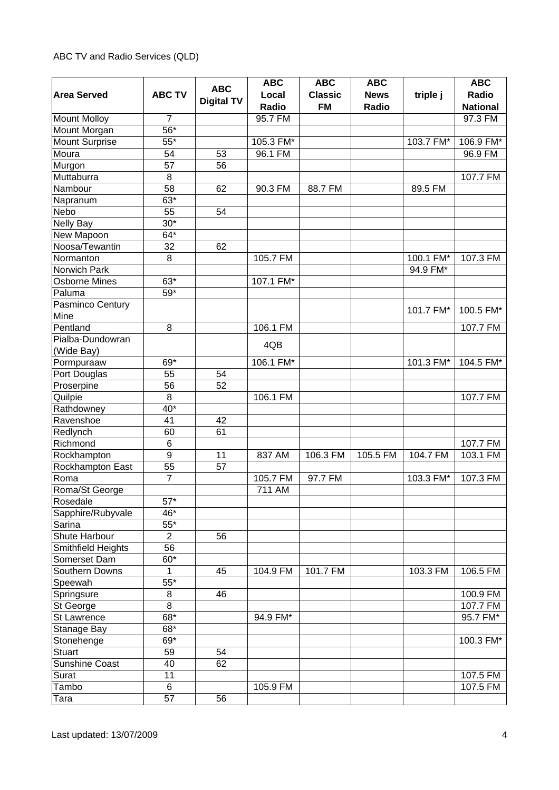|                       |                   |                   | <b>ABC</b> | <b>ABC</b>     | <b>ABC</b>  |           | <b>ABC</b>      |
|-----------------------|-------------------|-------------------|------------|----------------|-------------|-----------|-----------------|
| <b>Area Served</b>    | <b>ABC TV</b>     | <b>ABC</b>        | Local      | <b>Classic</b> | <b>News</b> | triple j  | Radio           |
|                       |                   | <b>Digital TV</b> | Radio      | <b>FM</b>      | Radio       |           | <b>National</b> |
| <b>Mount Molloy</b>   | $\overline{7}$    |                   | 95.7 FM    |                |             |           | 97.3 FM         |
| Mount Morgan          | $\overline{56}^*$ |                   |            |                |             |           |                 |
| <b>Mount Surprise</b> | $\overline{55^*}$ |                   | 105.3 FM*  |                |             | 103.7 FM* | 106.9 FM*       |
| Moura                 | 54                | 53                | 96.1 FM    |                |             |           | 96.9 FM         |
| Murgon                | 57                | 56                |            |                |             |           |                 |
| Muttaburra            | 8                 |                   |            |                |             |           | 107.7 FM        |
| Nambour               | 58                | 62                | 90.3 FM    | 88.7 FM        |             | 89.5 FM   |                 |
| Napranum              | 63*               |                   |            |                |             |           |                 |
| Nebo                  | 55                | 54                |            |                |             |           |                 |
| <b>Nelly Bay</b>      | $30*$             |                   |            |                |             |           |                 |
| New Mapoon            | 64*               |                   |            |                |             |           |                 |
| Noosa/Tewantin        | 32                | 62                |            |                |             |           |                 |
| Normanton             | 8                 |                   | 105.7 FM   |                |             | 100.1 FM* | 107.3 FM        |
| Norwich Park          |                   |                   |            |                |             | 94.9 FM*  |                 |
| <b>Osborne Mines</b>  | 63*               |                   | 107.1 FM*  |                |             |           |                 |
| Paluma                | $59*$             |                   |            |                |             |           |                 |
| Pasminco Century      |                   |                   |            |                |             |           |                 |
| Mine                  |                   |                   |            |                |             | 101.7 FM* | 100.5 FM*       |
| Pentland              | 8                 |                   | 106.1 FM   |                |             |           | 107.7 FM        |
| Pialba-Dundowran      |                   |                   |            |                |             |           |                 |
| (Wide Bay)            |                   |                   | 4QB        |                |             |           |                 |
| Pormpuraaw            | 69*               |                   | 106.1 FM*  |                |             | 101.3 FM* | 104.5 FM*       |
| Port Douglas          | 55                | 54                |            |                |             |           |                 |
| Proserpine            | 56                | 52                |            |                |             |           |                 |
| Quilpie               | 8                 |                   | 106.1 FM   |                |             |           | 107.7 FM        |
| Rathdowney            | $40*$             |                   |            |                |             |           |                 |
| Ravenshoe             | 41                | 42                |            |                |             |           |                 |
| Redlynch              | 60                | 61                |            |                |             |           |                 |
| Richmond              | 6                 |                   |            |                |             |           | 107.7 FM        |
| Rockhampton           | 9                 | 11                | 837 AM     | 106.3 FM       | 105.5 FM    | 104.7 FM  | 103.1 FM        |
| Rockhampton East      | 55                | 57                |            |                |             |           |                 |
| Roma                  | $\overline{7}$    |                   | 105.7 FM   | 97.7 FM        |             | 103.3 FM* | 107.3 FM        |
| Roma/St George        |                   |                   | 711 AM     |                |             |           |                 |
| Rosedale              | $57*$             |                   |            |                |             |           |                 |
| Sapphire/Rubyvale     | 46*               |                   |            |                |             |           |                 |
| Sarina                | $\overline{55^*}$ |                   |            |                |             |           |                 |
| Shute Harbour         | $\overline{2}$    | 56                |            |                |             |           |                 |
| Smithfield Heights    | $\overline{56}$   |                   |            |                |             |           |                 |
| Somerset Dam          | $60*$             |                   |            |                |             |           |                 |
| Southern Downs        | 1                 | 45                | 104.9 FM   | 101.7 FM       |             | 103.3 FM  | 106.5 FM        |
| Speewah               | $55*$             |                   |            |                |             |           |                 |
| Springsure            | 8                 | 46                |            |                |             |           | 100.9 FM        |
| St George             | 8                 |                   |            |                |             |           | 107.7 FM        |
| St Lawrence           | $68*$             |                   | 94.9 FM*   |                |             |           | 95.7 FM*        |
| Stanage Bay           | 68*               |                   |            |                |             |           |                 |
| Stonehenge            | 69*               |                   |            |                |             |           | 100.3 FM*       |
| <b>Stuart</b>         | 59                | 54                |            |                |             |           |                 |
| Sunshine Coast        | 40                | 62                |            |                |             |           |                 |
| Surat                 | 11                |                   |            |                |             |           | 107.5 FM        |
| Tambo                 | 6                 |                   | 105.9 FM   |                |             |           | 107.5 FM        |
| Tara                  | 57                | 56                |            |                |             |           |                 |